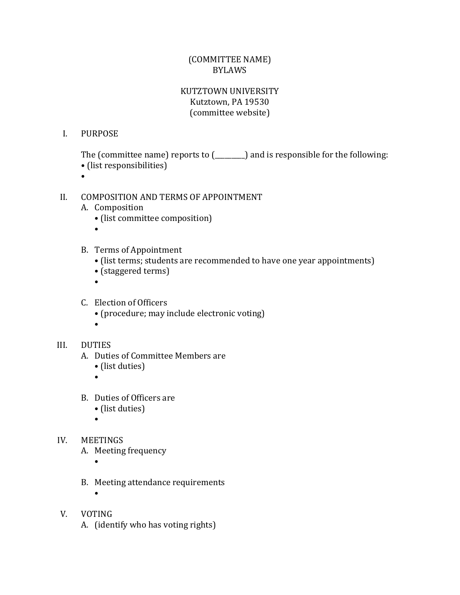# (COMMITTEE NAME) BYLAWS

# KUTZTOWN UNIVERSITY Kutztown, PA 19530 (committee website)

### I. PURPOSE

The (committee name) reports to (\_\_\_\_\_\_\_\_\_) and is responsible for the following:

- (list responsibilities)
- $\bullet$

## II. COMPOSITION AND TERMS OF APPOINTMENT

- A. Composition
	- (list committee composition)
	- •
- B. Terms of Appointment
	- (list terms; students are recommended to have one year appointments)
	- (staggered terms)
	- $\bullet$
- C. Election of Officers
	- (procedure; may include electronic voting)
	- •

## III. DUTIES

- A. Duties of Committee Members are
	- (list duties)

 $\bullet$ 

- B. Duties of Officers are
	- (list duties)

•

- IV. MEETINGS A. Meeting frequency
	- •

•

- B. Meeting attendance requirements
- V. VOTING A. (identify who has voting rights)